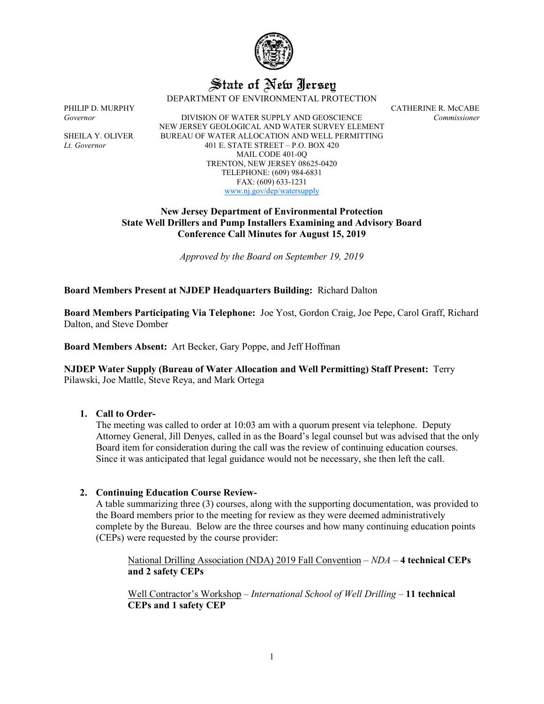

# State of New Jersey DEPARTMENT OF ENVIRONMENTAL PROTECTION

PHILIP D. MURPHY<br>Governor CATHERINE R. McCABE Covernor Commissioner *Governor* DIVISION OF WATER SUPPLY AND GEOSCIENCE *Commissioner* NEW JERSEY GEOLOGICAL AND WATER SURVEY ELEMENT SHEILA Y. OLIVER BUREAU OF WATER ALLOCATION AND WELL PERMITTING *Lt. Governor* 401 E. STATE STREET – P.O. BOX 420 MAIL CODE 401-0Q TRENTON, NEW JERSEY 08625-0420 TELEPHONE: (609) 984-6831 FAX: (609) 633-1231 [www.nj.gov/dep/watersupply](http://www.nj.gov/dep/watersupply)

> **New Jersey Department of Environmental Protection State Well Drillers and Pump Installers Examining and Advisory Board Conference Call Minutes for August 15, 2019**

> > *Approved by the Board on September 19, 2019*

**Board Members Present at NJDEP Headquarters Building:** Richard Dalton

**Board Members Participating Via Telephone:** Joe Yost, Gordon Craig, Joe Pepe, Carol Graff, Richard Dalton, and Steve Domber

**Board Members Absent:** Art Becker, Gary Poppe, and Jeff Hoffman

**NJDEP Water Supply (Bureau of Water Allocation and Well Permitting) Staff Present:** Terry Pilawski, Joe Mattle, Steve Reya, and Mark Ortega

### **1. Call to Order-**

The meeting was called to order at 10:03 am with a quorum present via telephone. Deputy Attorney General, Jill Denyes, called in as the Board's legal counsel but was advised that the only Board item for consideration during the call was the review of continuing education courses. Since it was anticipated that legal guidance would not be necessary, she then left the call.

## **2. Continuing Education Course Review-**

A table summarizing three (3) courses, along with the supporting documentation, was provided to the Board members prior to the meeting for review as they were deemed administratively complete by the Bureau. Below are the three courses and how many continuing education points (CEPs) were requested by the course provider:

National Drilling Association (NDA) 2019 Fall Convention – *NDA* – **4 technical CEPs and 2 safety CEPs**

Well Contractor's Workshop – *International School of Well Drilling* – **11 technical CEPs and 1 safety CEP**